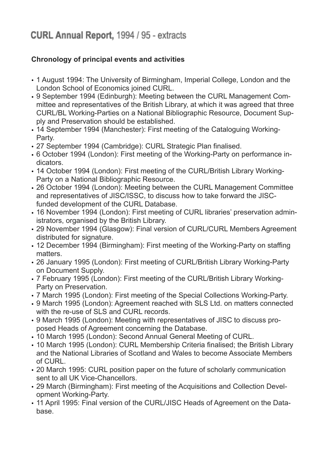## CURL Annual Report, 1994 / 95 - extracts

## **Chronology of principal events and activities**

- 1 August 1994: The University of Birmingham, Imperial College, London and the London School of Economics joined CURL.
- 9 September 1994 (Edinburgh): Meeting between the CURL Management Committee and representatives of the British Library, at which it was agreed that three CURL/BL Working-Parties on a National Bibliographic Resource, Document Supply and Preservation should be established.
- 14 September 1994 (Manchester): First meeting of the Cataloguing Working-Party.
- 27 September 1994 (Cambridge): CURL Strategic Plan finalised.
- 6 October 1994 (London): First meeting of the Working-Party on performance indicators.
- 14 October 1994 (London): First meeting of the CURL/British Library Working-Party on a National Bibliographic Resource.
- 26 October 1994 (London): Meeting between the CURL Management Committee and representatives of JISC/ISSC, to discuss how to take forward the JISCfunded development of the CURL Database.
- 16 November 1994 (London): First meeting of CURL libraries' preservation administrators, organised by the British Library.
- 29 November 1994 (Glasgow): Final version of CURL/CURL Members Agreement distributed for signature.
- 12 December 1994 (Birmingham): First meeting of the Working-Party on staffing matters.
- 26 January 1995 (London): First meeting of CURL/British Library Working-Party on Document Supply.
- 7 February 1995 (London): First meeting of the CURL/British Library Working-Party on Preservation.
- 7 March 1995 (London): First meeting of the Special Collections Working-Party.
- 9 March 1995 (London): Agreement reached with SLS Ltd. on matters connected with the re-use of SLS and CURL records.
- 9 March 1995 (London): Meeting with representatives of JISC to discuss proposed Heads of Agreement concerning the Database.
- 10 March 1995 (London): Second Annual General Meeting of CURL.
- 10 March 1995 (London): CURL Membership Criteria finalised; the British Library and the National Libraries of Scotland and Wales to become Associate Members of CURL.
- 20 March 1995: CURL position paper on the future of scholarly communication sent to all UK Vice-Chancellors.
- 29 March (Birmingham): First meeting of the Acquisitions and Collection Development Working-Party.
- 11 April 1995: Final version of the CURL/JISC Heads of Agreement on the Database.